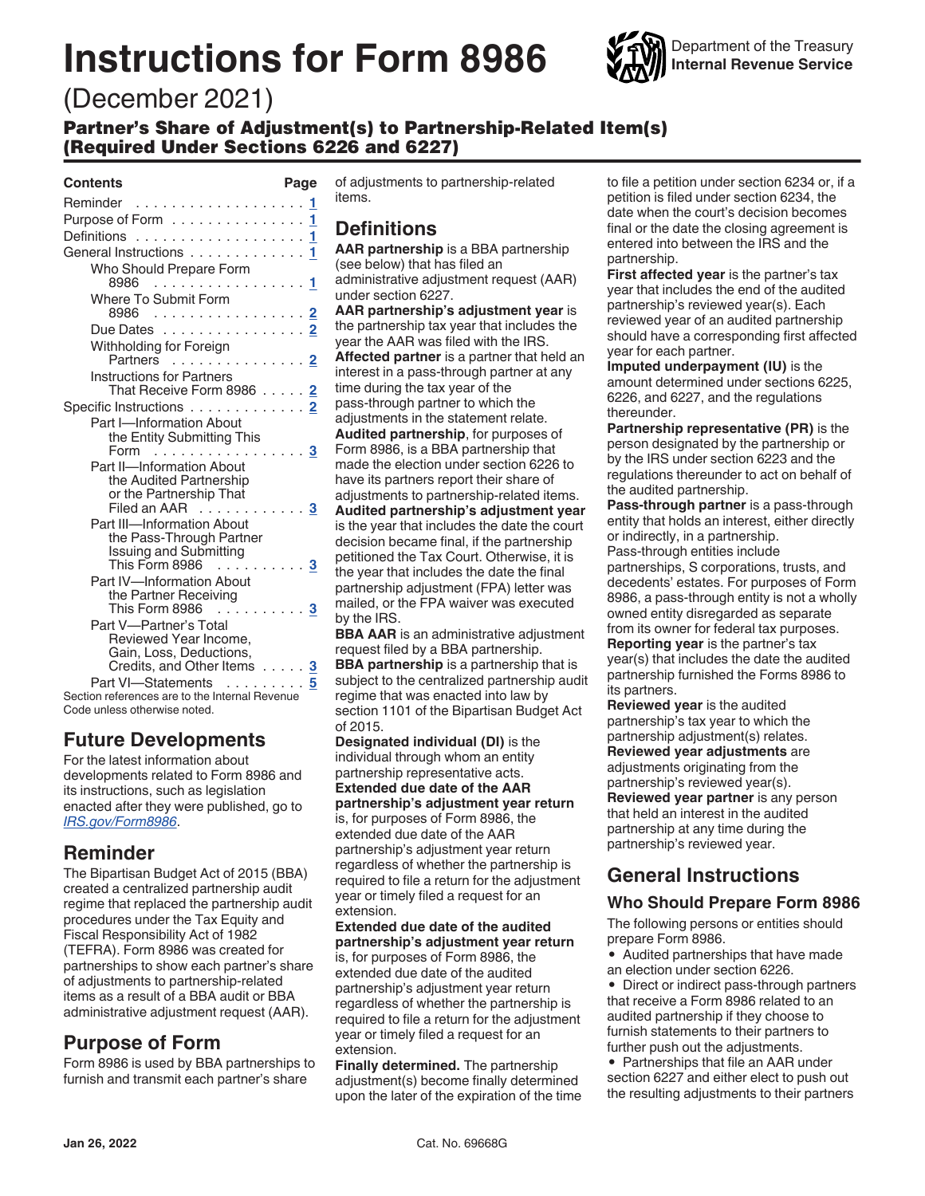# **Instructions for Form 8986**



# (December 2021)

Partner's Share of Adjustment(s) to Partnership-Related Item(s) (Required Under Sections 6226 and 6227)

#### **Contents Page**

| Reminder <u>1</u>                                                                                                               |    |
|---------------------------------------------------------------------------------------------------------------------------------|----|
| Purpose of Form ............. <mark>1</mark>                                                                                    |    |
|                                                                                                                                 |    |
| General Instructions 1                                                                                                          |    |
| Who Should Prepare Form<br>8986<br>. 1                                                                                          |    |
| Where To Submit Form                                                                                                            |    |
| 8986                                                                                                                            | 2  |
| Due Dates 2                                                                                                                     |    |
| Withholding for Foreign<br>Partners  2                                                                                          |    |
| <b>Instructions for Partners</b><br>That Receive Form 8986                                                                      | 2  |
| Specific Instructions                                                                                                           |    |
| Part I-Information About<br>the Entity Submitting This                                                                          |    |
| Form                                                                                                                            | 3  |
| Part II-Information About<br>the Audited Partnership<br>or the Partnership That<br>Filed an AAR                                 | 3  |
| Part III-Information About<br>the Pass-Through Partner<br><b>Issuing and Submitting</b><br>This Form 8986<br>and a state of the | -3 |
| Part IV-Information About<br>the Partner Receiving<br>This Form 8986                                                            | 3  |
| Part V-Partner's Total<br>Reviewed Year Income.<br>Gain, Loss, Deductions,<br>Credits, and Other Items                          | 3  |
| Part VI-Statements                                                                                                              | 5  |
| Section references are to the Internal Revenue                                                                                  |    |

Code unless otherwise noted.

# **Future Developments**

For the latest information about developments related to Form 8986 and its instructions, such as legislation enacted after they were published, go to *[IRS.gov/Form8986](https://www.irs.gov/Form8986)*.

# **Reminder**

The Bipartisan Budget Act of 2015 (BBA) created a centralized partnership audit regime that replaced the partnership audit procedures under the Tax Equity and Fiscal Responsibility Act of 1982 (TEFRA). Form 8986 was created for partnerships to show each partner's share of adjustments to partnership-related items as a result of a BBA audit or BBA administrative adjustment request (AAR).

# **Purpose of Form**

Form 8986 is used by BBA partnerships to furnish and transmit each partner's share

of adjustments to partnership-related items.

# **Definitions**

**AAR partnership** is a BBA partnership (see below) that has filed an administrative adjustment request (AAR) under section 6227.

**AAR partnership's adjustment year** is the partnership tax year that includes the year the AAR was filed with the IRS.

**Affected partner** is a partner that held an interest in a pass-through partner at any time during the tax year of the pass-through partner to which the adjustments in the statement relate. **Audited partnership**, for purposes of Form 8986, is a BBA partnership that made the election under section 6226 to have its partners report their share of adjustments to partnership-related items. **Audited partnership's adjustment year**  is the year that includes the date the court

decision became final, if the partnership petitioned the Tax Court. Otherwise, it is the year that includes the date the final partnership adjustment (FPA) letter was mailed, or the FPA waiver was executed by the IRS.

**BBA AAR** is an administrative adjustment request filed by a BBA partnership. **BBA partnership** is a partnership that is subject to the centralized partnership audit regime that was enacted into law by section 1101 of the Bipartisan Budget Act of 2015.

**Designated individual (DI)** is the individual through whom an entity partnership representative acts.

**Extended due date of the AAR partnership's adjustment year return**  is, for purposes of Form 8986, the extended due date of the AAR partnership's adjustment year return regardless of whether the partnership is required to file a return for the adjustment year or timely filed a request for an extension.

**Extended due date of the audited partnership's adjustment year return**  is, for purposes of Form 8986, the extended due date of the audited partnership's adjustment year return regardless of whether the partnership is required to file a return for the adjustment year or timely filed a request for an extension.

**Finally determined.** The partnership adjustment(s) become finally determined upon the later of the expiration of the time to file a petition under section 6234 or, if a petition is filed under section 6234, the date when the court's decision becomes final or the date the closing agreement is entered into between the IRS and the partnership.

**First affected year** is the partner's tax year that includes the end of the audited partnership's reviewed year(s). Each reviewed year of an audited partnership should have a corresponding first affected year for each partner.

**Imputed underpayment (IU)** is the amount determined under sections 6225, 6226, and 6227, and the regulations thereunder.

**Partnership representative (PR)** is the person designated by the partnership or by the IRS under section 6223 and the regulations thereunder to act on behalf of the audited partnership.

**Pass-through partner** is a pass-through entity that holds an interest, either directly or indirectly, in a partnership.

Pass-through entities include partnerships, S corporations, trusts, and decedents' estates. For purposes of Form 8986, a pass-through entity is not a wholly owned entity disregarded as separate from its owner for federal tax purposes. **Reporting year** is the partner's tax year(s) that includes the date the audited partnership furnished the Forms 8986 to

its partners. **Reviewed year** is the audited

partnership's tax year to which the partnership adjustment(s) relates. **Reviewed year adjustments** are adjustments originating from the partnership's reviewed year(s). **Reviewed year partner** is any person that held an interest in the audited partnership at any time during the partnership's reviewed year.

# **General Instructions**

# **Who Should Prepare Form 8986**

The following persons or entities should prepare Form 8986.

• Audited partnerships that have made an election under section 6226.

• Direct or indirect pass-through partners that receive a Form 8986 related to an audited partnership if they choose to furnish statements to their partners to further push out the adjustments.

• Partnerships that file an AAR under section 6227 and either elect to push out the resulting adjustments to their partners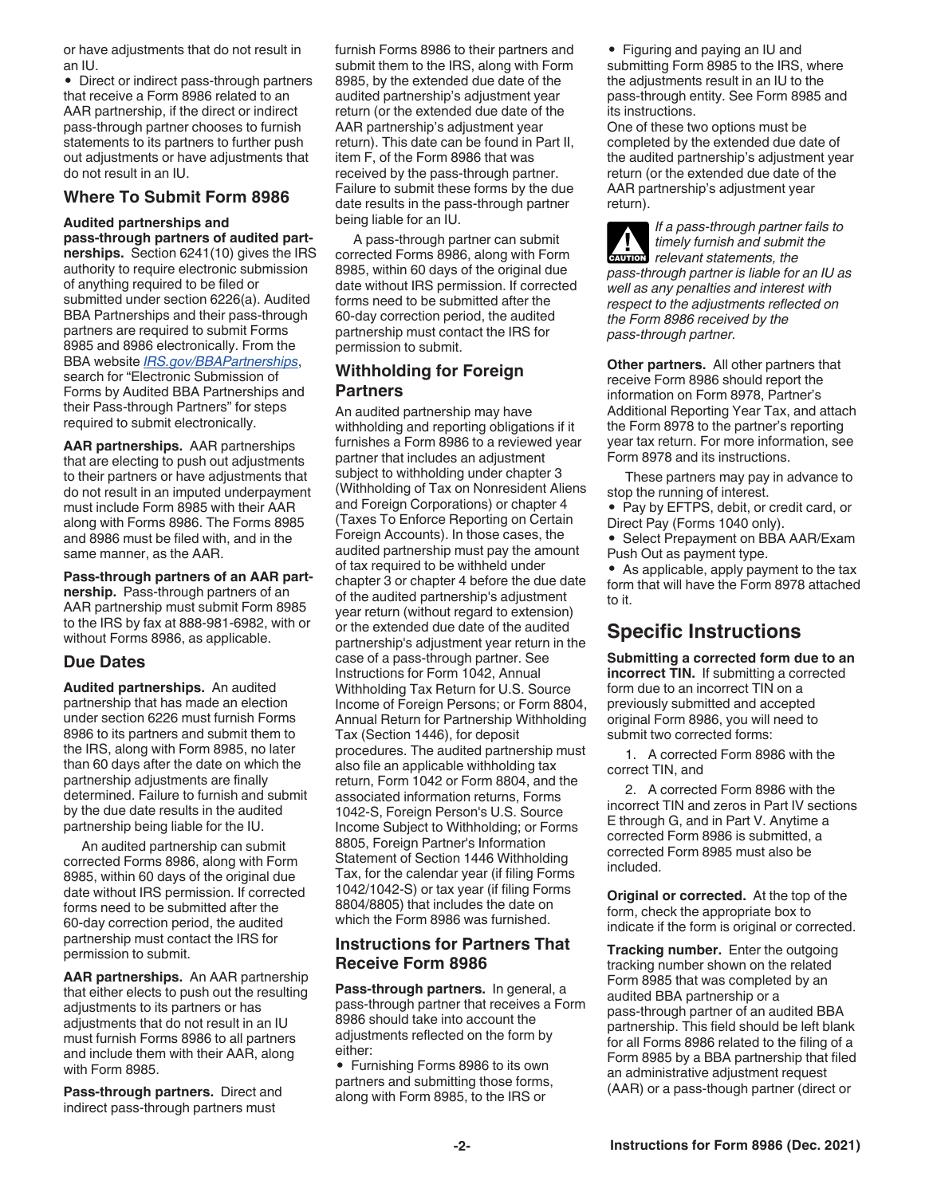<span id="page-1-0"></span>or have adjustments that do not result in an IU.

• Direct or indirect pass-through partners that receive a Form 8986 related to an AAR partnership, if the direct or indirect pass-through partner chooses to furnish statements to its partners to further push out adjustments or have adjustments that do not result in an IU.

#### **Where To Submit Form 8986**

#### **Audited partnerships and**

**pass-through partners of audited partnerships.** Section 6241(10) gives the IRS authority to require electronic submission of anything required to be filed or submitted under section 6226(a). Audited BBA Partnerships and their pass-through partners are required to submit Forms 8985 and 8986 electronically. From the BBA website *[IRS.gov/BBAPartnerships](https://www.irs.gov/businesses/partnerships/bba-centralized-partnership-audit-regime)*, search for "Electronic Submission of Forms by Audited BBA Partnerships and their Pass-through Partners" for steps required to submit electronically.

**AAR partnerships.** AAR partnerships that are electing to push out adjustments to their partners or have adjustments that do not result in an imputed underpayment must include Form 8985 with their AAR along with Forms 8986. The Forms 8985 and 8986 must be filed with, and in the same manner, as the AAR.

**Pass-through partners of an AAR partnership.** Pass-through partners of an AAR partnership must submit Form 8985 to the IRS by fax at 888-981-6982, with or without Forms 8986, as applicable.

#### **Due Dates**

**Audited partnerships.** An audited partnership that has made an election under section 6226 must furnish Forms 8986 to its partners and submit them to the IRS, along with Form 8985, no later than 60 days after the date on which the partnership adjustments are finally determined. Failure to furnish and submit by the due date results in the audited partnership being liable for the IU.

An audited partnership can submit corrected Forms 8986, along with Form 8985, within 60 days of the original due date without IRS permission. If corrected forms need to be submitted after the 60-day correction period, the audited partnership must contact the IRS for permission to submit.

**AAR partnerships.** An AAR partnership that either elects to push out the resulting adjustments to its partners or has adjustments that do not result in an IU must furnish Forms 8986 to all partners and include them with their AAR, along with Form 8985.

**Pass-through partners.** Direct and indirect pass-through partners must

furnish Forms 8986 to their partners and submit them to the IRS, along with Form 8985, by the extended due date of the audited partnership's adjustment year return (or the extended due date of the AAR partnership's adjustment year return). This date can be found in Part II, item F, of the Form 8986 that was received by the pass-through partner. Failure to submit these forms by the due date results in the pass-through partner being liable for an IU.

A pass-through partner can submit corrected Forms 8986, along with Form 8985, within 60 days of the original due date without IRS permission. If corrected forms need to be submitted after the 60-day correction period, the audited partnership must contact the IRS for permission to submit.

## **Withholding for Foreign Partners**

An audited partnership may have withholding and reporting obligations if it furnishes a Form 8986 to a reviewed year partner that includes an adjustment subject to withholding under chapter 3 (Withholding of Tax on Nonresident Aliens and Foreign Corporations) or chapter 4 (Taxes To Enforce Reporting on Certain Foreign Accounts). In those cases, the audited partnership must pay the amount of tax required to be withheld under chapter 3 or chapter 4 before the due date of the audited partnership's adjustment year return (without regard to extension) or the extended due date of the audited partnership's adjustment year return in the case of a pass-through partner. See Instructions for Form 1042, Annual Withholding Tax Return for U.S. Source Income of Foreign Persons; or Form 8804, Annual Return for Partnership Withholding Tax (Section 1446), for deposit procedures. The audited partnership must also file an applicable withholding tax return, Form 1042 or Form 8804, and the associated information returns, Forms 1042-S, Foreign Person's U.S. Source Income Subject to Withholding; or Forms 8805, Foreign Partner's Information Statement of Section 1446 Withholding Tax, for the calendar year (if filing Forms 1042/1042-S) or tax year (if filing Forms 8804/8805) that includes the date on which the Form 8986 was furnished.

### **Instructions for Partners That Receive Form 8986**

**Pass-through partners.** In general, a pass-through partner that receives a Form 8986 should take into account the adjustments reflected on the form by either:

• Furnishing Forms 8986 to its own partners and submitting those forms, along with Form 8985, to the IRS or

• Figuring and paying an IU and submitting Form 8985 to the IRS, where the adjustments result in an IU to the pass-through entity. See Form 8985 and its instructions.

One of these two options must be completed by the extended due date of the audited partnership's adjustment year return (or the extended due date of the AAR partnership's adjustment year return).

*If a pass-through partner fails to timely furnish and submit the*  **c** *timely furnish and submit*<br> *relevant statements, the pass-through partner is liable for an IU as well as any penalties and interest with respect to the adjustments reflected on the Form 8986 received by the pass-through partner.*

**Other partners.** All other partners that receive Form 8986 should report the information on Form 8978, Partner's Additional Reporting Year Tax, and attach the Form 8978 to the partner's reporting year tax return. For more information, see Form 8978 and its instructions.

These partners may pay in advance to stop the running of interest.

- Pay by EFTPS, debit, or credit card, or Direct Pay (Forms 1040 only).
- Select Prepayment on BBA AAR/Exam Push Out as payment type.

• As applicable, apply payment to the tax form that will have the Form 8978 attached to it.

# **Specific Instructions**

**Submitting a corrected form due to an incorrect TIN.** If submitting a corrected form due to an incorrect TIN on a previously submitted and accepted original Form 8986, you will need to submit two corrected forms:

1. A corrected Form 8986 with the correct TIN, and

2. A corrected Form 8986 with the incorrect TIN and zeros in Part IV sections E through G, and in Part V. Anytime a corrected Form 8986 is submitted, a corrected Form 8985 must also be included.

**Original or corrected.** At the top of the form, check the appropriate box to indicate if the form is original or corrected.

**Tracking number.** Enter the outgoing tracking number shown on the related Form 8985 that was completed by an audited BBA partnership or a pass-through partner of an audited BBA partnership. This field should be left blank for all Forms 8986 related to the filing of a Form 8985 by a BBA partnership that filed an administrative adjustment request (AAR) or a pass-though partner (direct or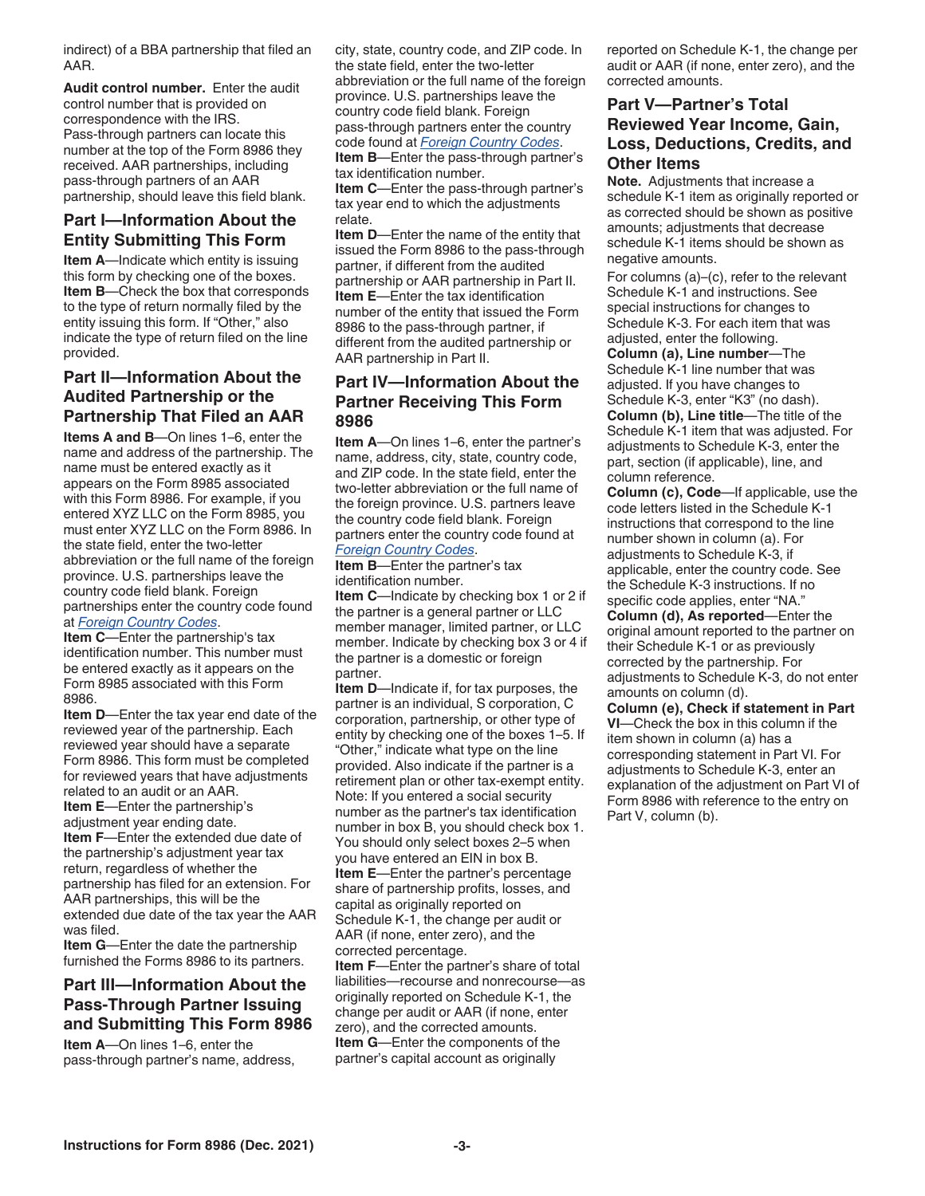<span id="page-2-0"></span>indirect) of a BBA partnership that filed an AAR.

**Audit control number.** Enter the audit control number that is provided on correspondence with the IRS. Pass-through partners can locate this number at the top of the Form 8986 they received. AAR partnerships, including pass-through partners of an AAR partnership, should leave this field blank.

# **Part I—Information About the Entity Submitting This Form**

**Item A**—Indicate which entity is issuing this form by checking one of the boxes. **Item B**—Check the box that corresponds to the type of return normally filed by the entity issuing this form. If "Other," also indicate the type of return filed on the line provided.

# **Part II—Information About the Audited Partnership or the Partnership That Filed an AAR**

**Items A and B**—On lines 1–6, enter the name and address of the partnership. The name must be entered exactly as it appears on the Form 8985 associated with this Form 8986. For example, if you entered XYZ LLC on the Form 8985, you must enter XYZ LLC on the Form 8986. In the state field, enter the two-letter abbreviation or the full name of the foreign province. U.S. partnerships leave the country code field blank. Foreign partnerships enter the country code found at *[Foreign Country Codes](https://www.irs.gov/e-file-providers/foreign-country-code-listing-for-modernized-e-file)*.

**Item C**—Enter the partnership's tax identification number. This number must be entered exactly as it appears on the Form 8985 associated with this Form 8986.

**Item D**—Enter the tax year end date of the reviewed year of the partnership. Each reviewed year should have a separate Form 8986. This form must be completed for reviewed years that have adjustments related to an audit or an AAR. **Item E**—Enter the partnership's adjustment year ending date. **Item F**—Enter the extended due date of the partnership's adjustment year tax return, regardless of whether the partnership has filed for an extension. For AAR partnerships, this will be the extended due date of the tax year the AAR

was filed. **Item G**—Enter the date the partnership

furnished the Forms 8986 to its partners.

## **Part III—Information About the Pass-Through Partner Issuing and Submitting This Form 8986**

**Item A**—On lines 1–6, enter the pass-through partner's name, address, city, state, country code, and ZIP code. In the state field, enter the two-letter abbreviation or the full name of the foreign province. U.S. partnerships leave the country code field blank. Foreign pass-through partners enter the country code found at *[Foreign Country Codes](https://www.irs.gov/e-file-providers/foreign-country-code-listing-for-modernized-e-file)*. **Item B**—Enter the pass-through partner's tax identification number.

**Item C**—Enter the pass-through partner's tax year end to which the adjustments relate.

**Item D**—Enter the name of the entity that issued the Form 8986 to the pass-through partner, if different from the audited partnership or AAR partnership in Part II. **Item E**—Enter the tax identification number of the entity that issued the Form 8986 to the pass-through partner, if different from the audited partnership or AAR partnership in Part II.

## **Part IV—Information About the Partner Receiving This Form 8986**

**Item A**—On lines 1–6, enter the partner's name, address, city, state, country code, and ZIP code. In the state field, enter the two-letter abbreviation or the full name of the foreign province. U.S. partners leave the country code field blank. Foreign partners enter the country code found at *[Foreign Country Codes](https://www.irs.gov/e-file-providers/foreign-country-code-listing-for-modernized-e-file)*.

**Item B**—Enter the partner's tax identification number.

**Item C**—Indicate by checking box 1 or 2 if the partner is a general partner or LLC member manager, limited partner, or LLC member. Indicate by checking box 3 or 4 if the partner is a domestic or foreign partner.

**Item D**—Indicate if, for tax purposes, the partner is an individual, S corporation, C corporation, partnership, or other type of entity by checking one of the boxes 1–5. If "Other," indicate what type on the line provided. Also indicate if the partner is a retirement plan or other tax-exempt entity. Note: If you entered a social security number as the partner's tax identification number in box B, you should check box 1. You should only select boxes 2–5 when you have entered an EIN in box B. **Item E**—Enter the partner's percentage share of partnership profits, losses, and capital as originally reported on Schedule K-1, the change per audit or AAR (if none, enter zero), and the corrected percentage.

**Item F**—Enter the partner's share of total liabilities—recourse and nonrecourse—as originally reported on Schedule K-1, the change per audit or AAR (if none, enter zero), and the corrected amounts. **Item G**—Enter the components of the partner's capital account as originally

reported on Schedule K-1, the change per audit or AAR (if none, enter zero), and the corrected amounts.

## **Part V—Partner's Total Reviewed Year Income, Gain, Loss, Deductions, Credits, and Other Items**

**Note.** Adjustments that increase a schedule K-1 item as originally reported or as corrected should be shown as positive amounts; adjustments that decrease schedule K-1 items should be shown as negative amounts.

For columns (a)–(c), refer to the relevant Schedule K-1 and instructions. See special instructions for changes to Schedule K-3. For each item that was adjusted, enter the following.

**Column (a), Line number**—The Schedule K-1 line number that was adjusted. If you have changes to Schedule K-3, enter "K3" (no dash). **Column (b), Line title**—The title of the Schedule K-1 item that was adjusted. For adjustments to Schedule K-3, enter the part, section (if applicable), line, and column reference.

**Column (c), Code**—If applicable, use the code letters listed in the Schedule K-1 instructions that correspond to the line number shown in column (a). For adjustments to Schedule K-3, if applicable, enter the country code. See the Schedule K-3 instructions. If no specific code applies, enter "NA."

**Column (d), As reported**—Enter the original amount reported to the partner on their Schedule K-1 or as previously corrected by the partnership. For adjustments to Schedule K-3, do not enter amounts on column (d).

**Column (e), Check if statement in Part VI**—Check the box in this column if the item shown in column (a) has a corresponding statement in Part VI. For adjustments to Schedule K-3, enter an explanation of the adjustment on Part VI of Form 8986 with reference to the entry on Part V, column (b).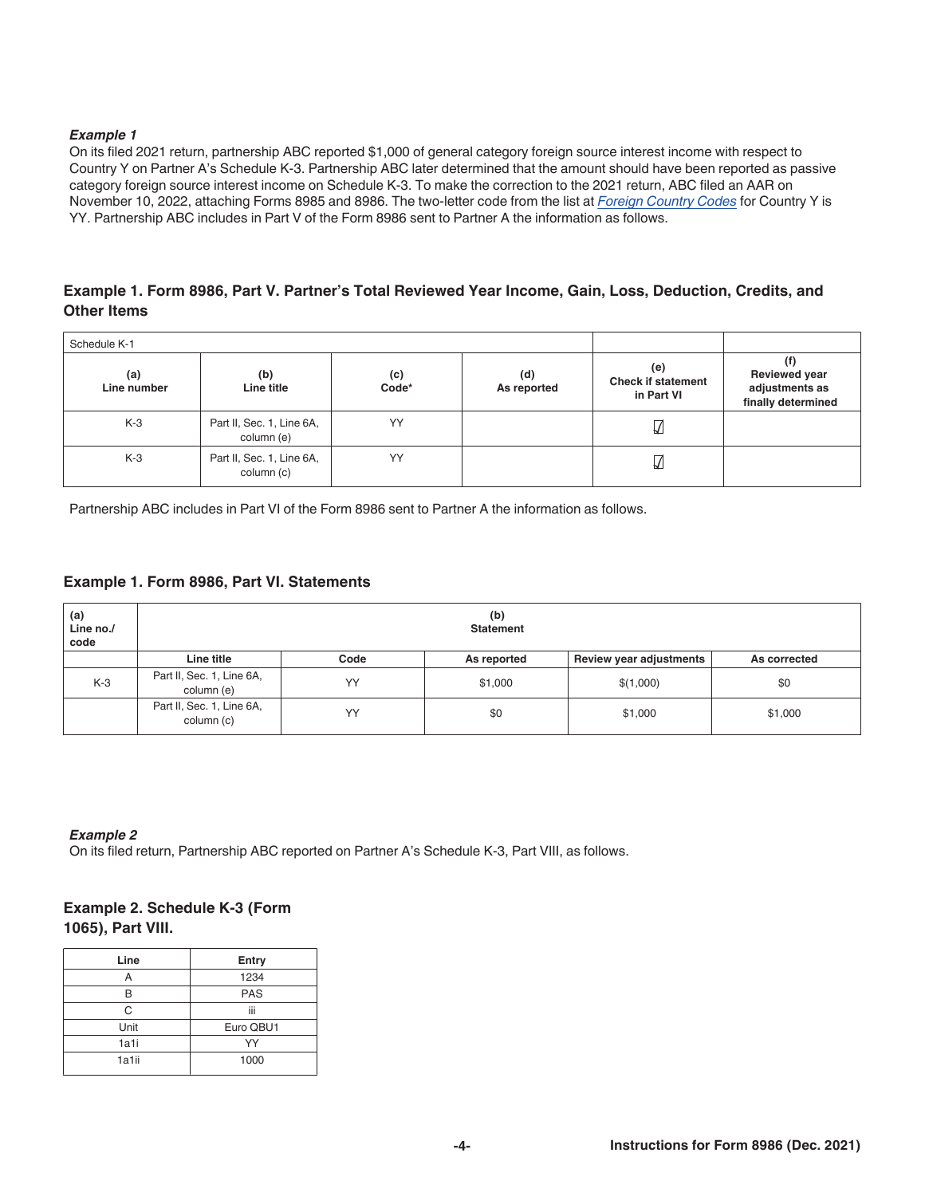#### *Example 1*

On its filed 2021 return, partnership ABC reported \$1,000 of general category foreign source interest income with respect to Country Y on Partner A's Schedule K-3. Partnership ABC later determined that the amount should have been reported as passive category foreign source interest income on Schedule K-3. To make the correction to the 2021 return, ABC filed an AAR on November 10, 2022, attaching Forms 8985 and 8986. The two-letter code from the list at *[Foreign Country Codes](https://www.irs.gov/e-file-providers/foreign-country-code-listing-for-modernized-e-file)* for Country Y is YY. Partnership ABC includes in Part V of the Form 8986 sent to Partner A the information as follows.

## **Example 1. Form 8986, Part V. Partner's Total Reviewed Year Income, Gain, Loss, Deduction, Credits, and Other Items**

| Schedule K-1       |                                         |              |                    |                                                |                                                                     |
|--------------------|-----------------------------------------|--------------|--------------------|------------------------------------------------|---------------------------------------------------------------------|
| (a)<br>Line number | (b)<br>Line title                       | (c)<br>Code* | (d)<br>As reported | (e)<br><b>Check if statement</b><br>in Part VI | (f)<br><b>Reviewed year</b><br>adjustments as<br>finally determined |
| $K-3$              | Part II, Sec. 1, Line 6A,<br>column (e) | YY           |                    | ₩                                              |                                                                     |
| $K-3$              | Part II, Sec. 1, Line 6A,<br>column (c) | YY           |                    | ₩                                              |                                                                     |

Partnership ABC includes in Part VI of the Form 8986 sent to Partner A the information as follows.

### **Example 1. Form 8986, Part VI. Statements**

| (a)<br>Line no./<br>code | (b)<br><b>Statement</b>                 |      |             |                         |              |
|--------------------------|-----------------------------------------|------|-------------|-------------------------|--------------|
|                          | Line title                              | Code | As reported | Review year adjustments | As corrected |
| $K-3$                    | Part II, Sec. 1, Line 6A,<br>column (e) | YY   | \$1,000     | \$(1,000)               | \$0          |
|                          | Part II, Sec. 1, Line 6A,<br>column (c) | YY   | \$0         | \$1,000                 | \$1,000      |

#### *Example 2*

On its filed return, Partnership ABC reported on Partner A's Schedule K-3, Part VIII, as follows.

## **Example 2. Schedule K-3 (Form 1065), Part VIII.**

| Line  | <b>Entry</b> |  |
|-------|--------------|--|
|       | 1234         |  |
|       | <b>PAS</b>   |  |
| C     | <br>Ш        |  |
| Unit  | Euro QBU1    |  |
| 1a1i  | YY           |  |
| 1a1ii | 1000         |  |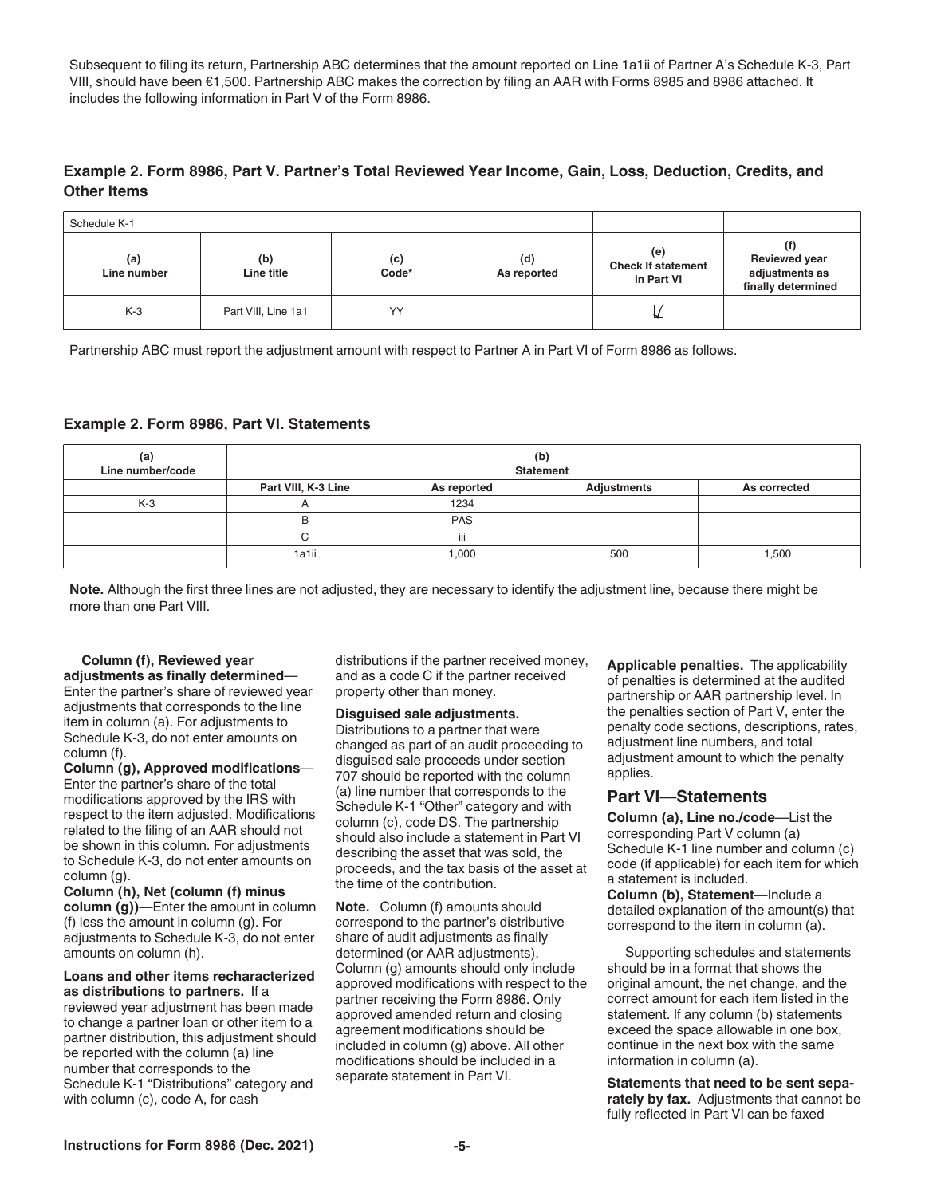<span id="page-4-0"></span>Subsequent to filing its return, Partnership ABC determines that the amount reported on Line 1a1ii of Partner A's Schedule K-3, Part VIII, should have been €1,500. Partnership ABC makes the correction by filing an AAR with Forms 8985 and 8986 attached. It includes the following information in Part V of the Form 8986.

## **Example 2. Form 8986, Part V. Partner's Total Reviewed Year Income, Gain, Loss, Deduction, Credits, and Other Items**

| Schedule K-1       |                     |              |                    |                                                |                                                              |
|--------------------|---------------------|--------------|--------------------|------------------------------------------------|--------------------------------------------------------------|
| (a)<br>Line number | (b)<br>Line title   | (c)<br>Code* | (d)<br>As reported | (e)<br><b>Check If statement</b><br>in Part VI | <b>Reviewed year</b><br>adjustments as<br>finally determined |
| $K-3$              | Part VIII, Line 1a1 | YY           |                    | V                                              |                                                              |

Partnership ABC must report the adjustment amount with respect to Partner A in Part VI of Form 8986 as follows.

#### **Example 2. Form 8986, Part VI. Statements**

| (a)<br>Line number/code | (b)<br><b>Statement</b> |             |             |              |
|-------------------------|-------------------------|-------------|-------------|--------------|
|                         | Part VIII, K-3 Line     | As reported | Adjustments | As corrected |
| $K-3$                   | ñ                       | 1234        |             |              |
|                         | В                       | <b>PAS</b>  |             |              |
|                         |                         | iii         |             |              |
|                         | 1a1ii                   | 000,        | 500         | 1,500        |

**Note.** Although the first three lines are not adjusted, they are necessary to identify the adjustment line, because there might be more than one Part VIII.

#### **Column (f), Reviewed year adjustments as finally determined**—

Enter the partner's share of reviewed year adjustments that corresponds to the line item in column (a). For adjustments to Schedule K-3, do not enter amounts on column (f).

**Column (g), Approved modifications**— Enter the partner's share of the total modifications approved by the IRS with respect to the item adjusted. Modifications related to the filing of an AAR should not be shown in this column. For adjustments to Schedule K-3, do not enter amounts on column (g).

**Column (h), Net (column (f) minus column (g))**—Enter the amount in column (f) less the amount in column (g). For adjustments to Schedule K-3, do not enter amounts on column (h).

**Loans and other items recharacterized as distributions to partners.** If a reviewed year adjustment has been made to change a partner loan or other item to a partner distribution, this adjustment should be reported with the column (a) line number that corresponds to the Schedule K-1 "Distributions" category and with column (c), code A, for cash

distributions if the partner received money, and as a code C if the partner received property other than money.

#### **Disguised sale adjustments.**

Distributions to a partner that were changed as part of an audit proceeding to disguised sale proceeds under section 707 should be reported with the column (a) line number that corresponds to the Schedule K-1 "Other" category and with column (c), code DS. The partnership should also include a statement in Part VI describing the asset that was sold, the proceeds, and the tax basis of the asset at the time of the contribution.

**Note.** Column (f) amounts should correspond to the partner's distributive share of audit adjustments as finally determined (or AAR adjustments). Column (g) amounts should only include approved modifications with respect to the partner receiving the Form 8986. Only approved amended return and closing agreement modifications should be included in column (g) above. All other modifications should be included in a separate statement in Part VI.

**Applicable penalties.** The applicability of penalties is determined at the audited partnership or AAR partnership level. In the penalties section of Part V, enter the penalty code sections, descriptions, rates, adjustment line numbers, and total adjustment amount to which the penalty applies.

#### **Part VI—Statements**

**Column (a), Line no./code**—List the corresponding Part V column (a) Schedule K-1 line number and column (c) code (if applicable) for each item for which a statement is included.

**Column (b), Statement**—Include a detailed explanation of the amount(s) that correspond to the item in column (a).

Supporting schedules and statements should be in a format that shows the original amount, the net change, and the correct amount for each item listed in the statement. If any column (b) statements exceed the space allowable in one box, continue in the next box with the same information in column (a).

**Statements that need to be sent separately by fax.** Adjustments that cannot be fully reflected in Part VI can be faxed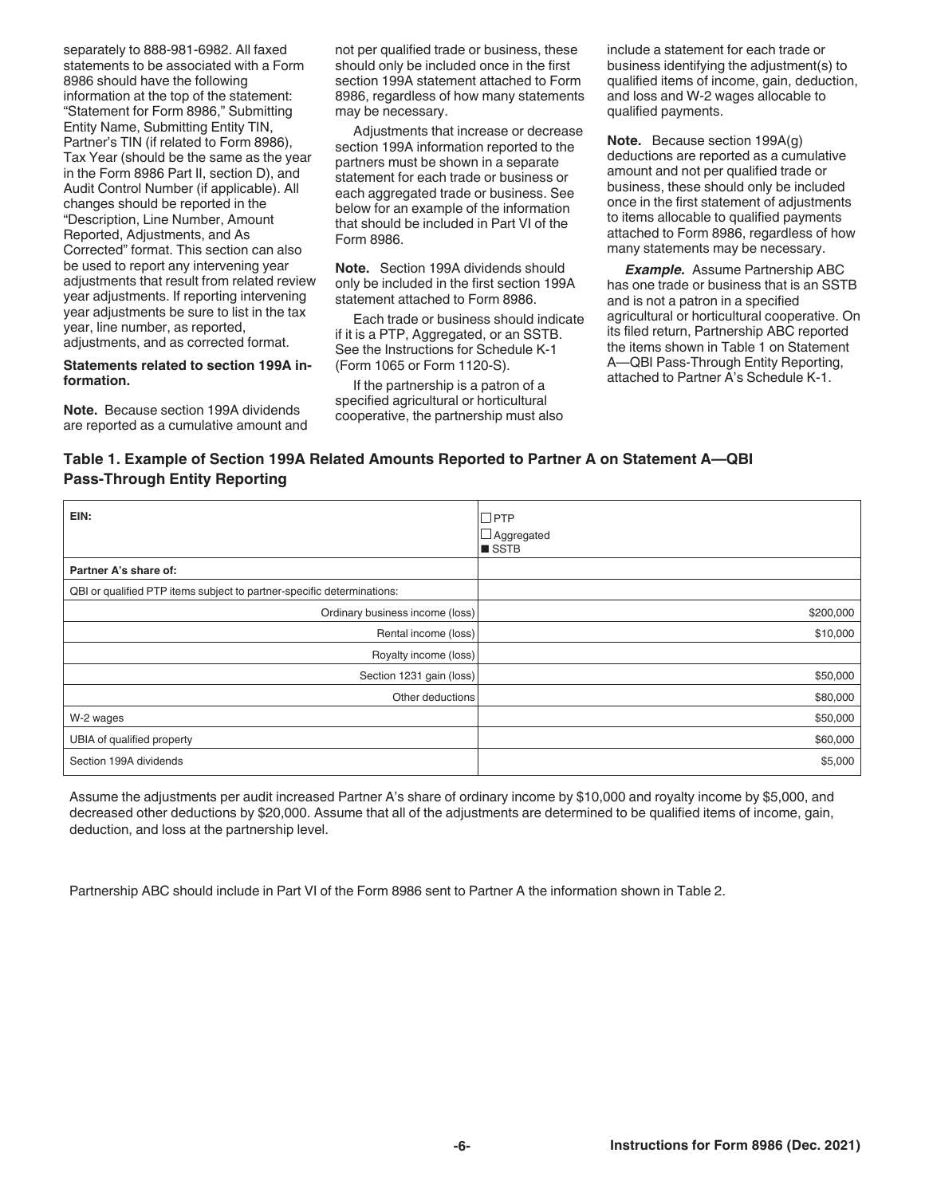separately to 888-981-6982. All faxed statements to be associated with a Form 8986 should have the following information at the top of the statement: "Statement for Form 8986," Submitting Entity Name, Submitting Entity TIN, Partner's TIN (if related to Form 8986), Tax Year (should be the same as the year in the Form 8986 Part II, section D), and Audit Control Number (if applicable). All changes should be reported in the "Description, Line Number, Amount Reported, Adjustments, and As Corrected" format. This section can also be used to report any intervening year adjustments that result from related review year adjustments. If reporting intervening year adjustments be sure to list in the tax year, line number, as reported, adjustments, and as corrected format.

#### **Statements related to section 199A information.**

**Note.** Because section 199A dividends are reported as a cumulative amount and not per qualified trade or business, these should only be included once in the first section 199A statement attached to Form 8986, regardless of how many statements may be necessary.

Adjustments that increase or decrease section 199A information reported to the partners must be shown in a separate statement for each trade or business or each aggregated trade or business. See below for an example of the information that should be included in Part VI of the Form 8986.

**Note.** Section 199A dividends should only be included in the first section 199A statement attached to Form 8986.

Each trade or business should indicate if it is a PTP, Aggregated, or an SSTB. See the Instructions for Schedule K-1 (Form 1065 or Form 1120-S).

If the partnership is a patron of a specified agricultural or horticultural cooperative, the partnership must also include a statement for each trade or business identifying the adjustment(s) to qualified items of income, gain, deduction, and loss and W-2 wages allocable to qualified payments.

**Note.** Because section 199A(g) deductions are reported as a cumulative amount and not per qualified trade or business, these should only be included once in the first statement of adjustments to items allocable to qualified payments attached to Form 8986, regardless of how many statements may be necessary.

*Example.* Assume Partnership ABC has one trade or business that is an SSTB and is not a patron in a specified agricultural or horticultural cooperative. On its filed return, Partnership ABC reported the items shown in Table 1 on Statement A—QBI Pass-Through Entity Reporting, attached to Partner A's Schedule K-1.

# **Table 1. Example of Section 199A Related Amounts Reported to Partner A on Statement A—QBI Pass-Through Entity Reporting**

| EIN:                                                                   | $\square$ PTP<br>$\Box$ Aggregated<br><b>B</b> SSTB |
|------------------------------------------------------------------------|-----------------------------------------------------|
| Partner A's share of:                                                  |                                                     |
| QBI or qualified PTP items subject to partner-specific determinations: |                                                     |
| Ordinary business income (loss)                                        | \$200,000                                           |
| Rental income (loss)                                                   | \$10,000                                            |
| Royalty income (loss)                                                  |                                                     |
| Section 1231 gain (loss)                                               | \$50,000                                            |
| Other deductions                                                       | \$80,000                                            |
| W-2 wages                                                              | \$50,000                                            |
| UBIA of qualified property                                             | \$60,000                                            |
| Section 199A dividends                                                 | \$5,000                                             |

Assume the adjustments per audit increased Partner A's share of ordinary income by \$10,000 and royalty income by \$5,000, and decreased other deductions by \$20,000. Assume that all of the adjustments are determined to be qualified items of income, gain, deduction, and loss at the partnership level.

Partnership ABC should include in Part VI of the Form 8986 sent to Partner A the information shown in Table 2.